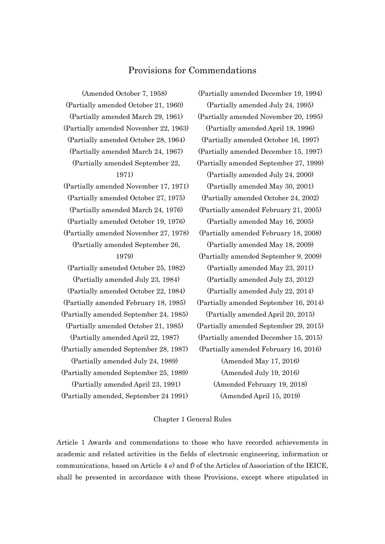# Provisions for Commendations

(Amended October 7, 1958) (Partially amended October 21, 1960) (Partially amended March 29, 1961) (Partially amended November 22, 1963) (Partially amended October 28, 1964) (Partially amended March 24, 1967) (Partially amended September 22, 1971) (Partially amended November 17, 1971) (Partially amended October 27, 1975) (Partially amended March 24, 1976) (Partially amended October 19, 1976) (Partially amended November 27, 1978) (Partially amended September 26, 1979) (Partially amended October 25, 1982) (Partially amended July 23, 1984) (Partially amended October 22, 1984) (Partially amended February 18, 1985) (Partially amended September 24, 1985) (Partially amended October 21, 1985) (Partially amended April 22, 1987) (Partially amended September 28, 1987) (Partially amended July 24, 1989) (Partially amended September 25, 1989) (Partially amended April 23, 1991) (Partially amended, September 24 1991)

(Partially amended December 19, 1994) (Partially amended July 24, 1995) (Partially amended November 20, 1995) (Partially amended April 18, 1996) (Partially amended October 16, 1997) (Partially amended December 15, 1997) (Partially amended September 27, 1999) (Partially amended July 24, 2000) (Partially amended May 30, 2001) (Partially amended October 24, 2002) (Partially amended February 21, 2005) (Partially amended May 16, 2005) (Partially amended February 18, 2008) (Partially amended May 18, 2009) (Partially amended September 9, 2009) (Partially amended May 23, 2011) (Partially amended July 23, 2012) (Partially amended July 22, 2014) (Partially amended September 16, 2014) (Partially amended April 20, 2015) (Partially amended September 29, 2015) (Partially amended December 15, 2015) (Partially amended February 16, 2016) (Amended May 17, 2016) (Amended July 19, 2016) (Amended February 19, 2018) (Amended April 15, 2019)

### Chapter 1 General Rules

Article 1 Awards and commendations to those who have recorded achievements in academic and related activities in the fields of electronic engineering, information or communications, based on Article 4 e) and  $\hat{f}$  of the Articles of Association of the IEICE. shall be presented in accordance with these Provisions, except where stipulated in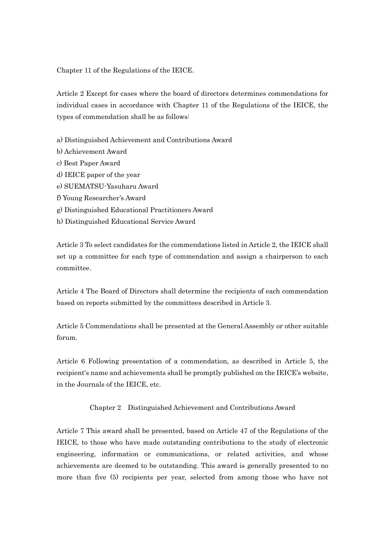Chapter 11 of the Regulations of the IEICE.

Article 2 Except for cases where the board of directors determines commendations for individual cases in accordance with Chapter 11 of the Regulations of the IEICE, the types of commendation shall be as follows:

- a) Distinguished Achievement and Contributions Award
- b) Achievement Award
- c) Best Paper Award
- d) IEICE paper of the year
- e) SUEMATSU-Yasuharu Award
- f) Young Researcher's Award
- g) Distinguished Educational Practitioners Award
- h) Distinguished Educational Service Award

Article 3 To select candidates for the commendations listed in Article 2, the IEICE shall set up a committee for each type of commendation and assign a chairperson to each committee.

Article 4 The Board of Directors shall determine the recipients of each commendation based on reports submitted by the committees described in Article 3.

Article 5 Commendations shall be presented at the General Assembly or other suitable forum.

Article 6 Following presentation of a commendation, as described in Article 5, the recipient's name and achievements shall be promptly published on the IEICE's website, in the Journals of the IEICE, etc.

Chapter 2 Distinguished Achievement and Contributions Award

Article 7 This award shall be presented, based on Article 47 of the Regulations of the IEICE, to those who have made outstanding contributions to the study of electronic engineering, information or communications, or related activities, and whose achievements are deemed to be outstanding. This award is generally presented to no more than five (5) recipients per year, selected from among those who have not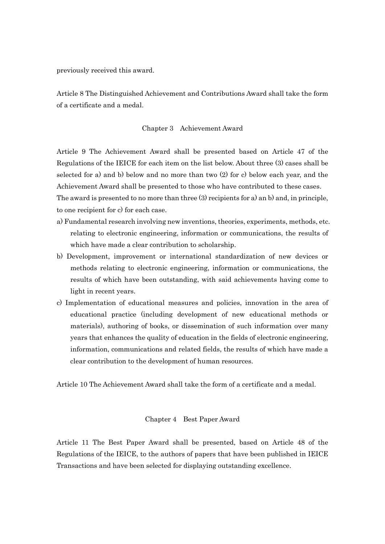previously received this award.

Article 8 The Distinguished Achievement and Contributions Award shall take the form of a certificate and a medal.

### Chapter 3 Achievement Award

Article 9 The Achievement Award shall be presented based on Article 47 of the Regulations of the IEICE for each item on the list below. About three (3) cases shall be selected for a) and b) below and no more than two (2) for c) below each year, and the Achievement Award shall be presented to those who have contributed to these cases. The award is presented to no more than three (3) recipients for a) an b) and, in principle, to one recipient for c) for each case.

- a) Fundamental research involving new inventions, theories, experiments, methods, etc. relating to electronic engineering, information or communications, the results of which have made a clear contribution to scholarship.
- b) Development, improvement or international standardization of new devices or methods relating to electronic engineering, information or communications, the results of which have been outstanding, with said achievements having come to light in recent years.
- c) Implementation of educational measures and policies, innovation in the area of educational practice (including development of new educational methods or materials), authoring of books, or dissemination of such information over many years that enhances the quality of education in the fields of electronic engineering, information, communications and related fields, the results of which have made a clear contribution to the development of human resources.

Article 10 The Achievement Award shall take the form of a certificate and a medal.

### Chapter 4 Best Paper Award

Article 11 The Best Paper Award shall be presented, based on Article 48 of the Regulations of the IEICE, to the authors of papers that have been published in IEICE Transactions and have been selected for displaying outstanding excellence.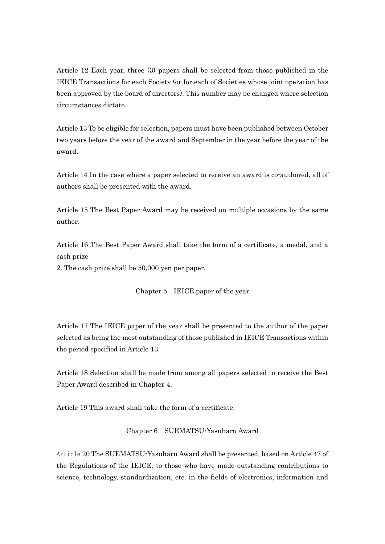Article 12 Each year, three (3) papers shall be selected from those published in the IEICE Transactions for each Society (or for each of Societies whose joint operation has been approved by the board of directors). This number may be changed where selection circumstances dictate.

Article 13 To be eligible for selection, papers must have been published between October two years before the year of the award and September in the year before the year of the award.

Article 14 In the case where a paper selected to receive an award is co-authored, all of authors shall be presented with the award.

Article 15 The Best Paper Award may be received on multiple occasions by the same author.

Article 16 The Best Paper Award shall take the form of a certificate, a medal, and a cash prize

2. The cash prize shall be 50,000 yen per paper.

### Chapter 5 IEICE paper of the year

Article 17 The IEICE paper of the year shall be presented to the author of the paper selected as being the most outstanding of those published in IEICE Transactions within the period specified in Article 13.

Article 18 Selection shall be made from among all papers selected to receive the Best Paper Award described in Chapter 4.

Article 19 This award shall take the form of a certificate.

Chapter 6 SUEMATSU-Yasuharu Award

Article 20 The SUEMATSU-Yasuharu Award shall be presented, based on Article 47 of the Regulations of the IEICE, to those who have made outstanding contributions to science, technology, standardization, etc. in the fields of electronics, information and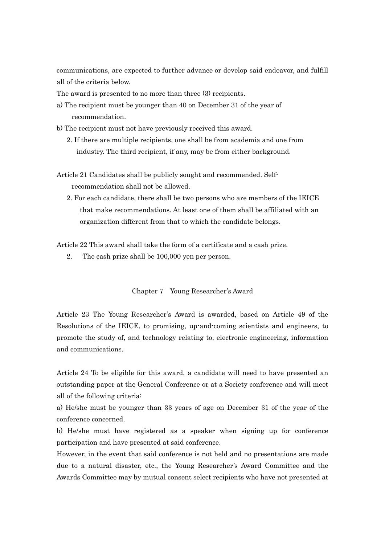communications, are expected to further advance or develop said endeavor, and fulfill all of the criteria below.

The award is presented to no more than three (3) recipients.

- a) The recipient must be younger than 40 on December 31 of the year of recommendation.
- b) The recipient must not have previously received this award.
	- 2. If there are multiple recipients, one shall be from academia and one from industry. The third recipient, if any, may be from either background.

Article 21 Candidates shall be publicly sought and recommended. Selfrecommendation shall not be allowed.

2. For each candidate, there shall be two persons who are members of the IEICE that make recommendations. At least one of them shall be affiliated with an organization different from that to which the candidate belongs.

Article 22 This award shall take the form of a certificate and a cash prize.

2. The cash prize shall be 100,000 yen per person.

### Chapter 7 Young Researcher's Award

Article 23 The Young Researcher's Award is awarded, based on Article 49 of the Resolutions of the IEICE, to promising, up-and-coming scientists and engineers, to promote the study of, and technology relating to, electronic engineering, information and communications.

Article 24 To be eligible for this award, a candidate will need to have presented an outstanding paper at the General Conference or at a Society conference and will meet all of the following criteria:

a) He/she must be younger than 33 years of age on December 31 of the year of the conference concerned.

b) He/she must have registered as a speaker when signing up for conference participation and have presented at said conference.

However, in the event that said conference is not held and no presentations are made due to a natural disaster, etc., the Young Researcher's Award Committee and the Awards Committee may by mutual consent select recipients who have not presented at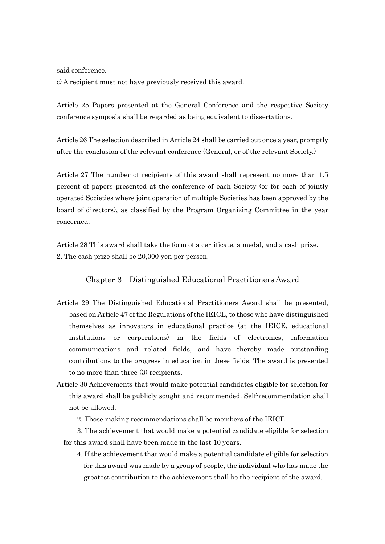said conference.

c) A recipient must not have previously received this award.

Article 25 Papers presented at the General Conference and the respective Society conference symposia shall be regarded as being equivalent to dissertations.

Article 26 The selection described in Article 24 shall be carried out once a year, promptly after the conclusion of the relevant conference (General, or of the relevant Society.)

Article 27 The number of recipients of this award shall represent no more than 1.5 percent of papers presented at the conference of each Society (or for each of jointly operated Societies where joint operation of multiple Societies has been approved by the board of directors), as classified by the Program Organizing Committee in the year concerned.

Article 28 This award shall take the form of a certificate, a medal, and a cash prize. 2. The cash prize shall be 20,000 yen per person.

## Chapter 8 Distinguished Educational Practitioners Award

- Article 29 The Distinguished Educational Practitioners Award shall be presented, based on Article 47 of the Regulations of the IEICE, to those who have distinguished themselves as innovators in educational practice (at the IEICE, educational institutions or corporations) in the fields of electronics, information communications and related fields, and have thereby made outstanding contributions to the progress in education in these fields. The award is presented to no more than three (3) recipients.
- Article 30 Achievements that would make potential candidates eligible for selection for this award shall be publicly sought and recommended. Self-recommendation shall not be allowed.
	- 2. Those making recommendations shall be members of the IEICE.

3. The achievement that would make a potential candidate eligible for selection for this award shall have been made in the last 10 years.

4. If the achievement that would make a potential candidate eligible for selection for this award was made by a group of people, the individual who has made the greatest contribution to the achievement shall be the recipient of the award.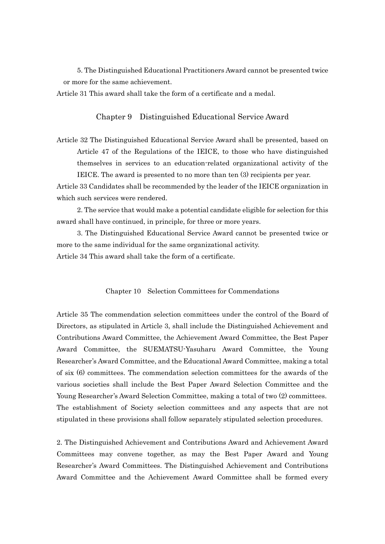5. The Distinguished Educational Practitioners Award cannot be presented twice or more for the same achievement.

Article 31 This award shall take the form of a certificate and a medal.

# Chapter 9 Distinguished Educational Service Award

Article 32 The Distinguished Educational Service Award shall be presented, based on Article 47 of the Regulations of the IEICE, to those who have distinguished themselves in services to an education-related organizational activity of the IEICE. The award is presented to no more than ten (3) recipients per year.

Article 33 Candidates shall be recommended by the leader of the IEICE organization in which such services were rendered.

2. The service that would make a potential candidate eligible for selection for this award shall have continued, in principle, for three or more years.

3. The Distinguished Educational Service Award cannot be presented twice or more to the same individual for the same organizational activity. Article 34 This award shall take the form of a certificate.

### Chapter 10 Selection Committees for Commendations

Article 35 The commendation selection committees under the control of the Board of Directors, as stipulated in Article 3, shall include the Distinguished Achievement and Contributions Award Committee, the Achievement Award Committee, the Best Paper Award Committee, the SUEMATSU-Yasuharu Award Committee, the Young Researcher's Award Committee, and the Educational Award Committee, making a total of six (6) committees. The commendation selection committees for the awards of the various societies shall include the Best Paper Award Selection Committee and the Young Researcher's Award Selection Committee, making a total of two (2) committees. The establishment of Society selection committees and any aspects that are not stipulated in these provisions shall follow separately stipulated selection procedures.

2. The Distinguished Achievement and Contributions Award and Achievement Award Committees may convene together, as may the Best Paper Award and Young Researcher's Award Committees. The Distinguished Achievement and Contributions Award Committee and the Achievement Award Committee shall be formed every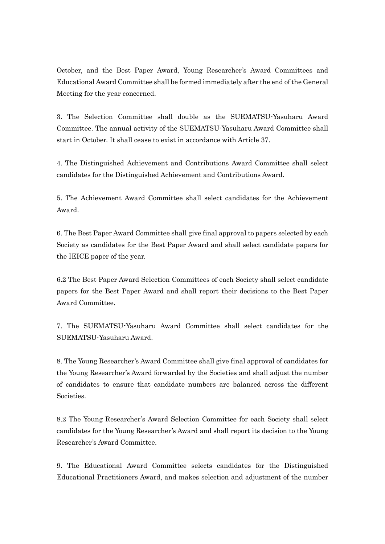October, and the Best Paper Award, Young Researcher's Award Committees and Educational Award Committee shall be formed immediately after the end of the General Meeting for the year concerned.

3. The Selection Committee shall double as the SUEMATSU-Yasuharu Award Committee. The annual activity of the SUEMATSU-Yasuharu Award Committee shall start in October. It shall cease to exist in accordance with Article 37.

4. The Distinguished Achievement and Contributions Award Committee shall select candidates for the Distinguished Achievement and Contributions Award.

5. The Achievement Award Committee shall select candidates for the Achievement Award.

6. The Best Paper Award Committee shall give final approval to papers selected by each Society as candidates for the Best Paper Award and shall select candidate papers for the IEICE paper of the year.

6.2 The Best Paper Award Selection Committees of each Society shall select candidate papers for the Best Paper Award and shall report their decisions to the Best Paper Award Committee.

7. The SUEMATSU-Yasuharu Award Committee shall select candidates for the SUEMATSU-Yasuharu Award.

8. The Young Researcher's Award Committee shall give final approval of candidates for the Young Researcher's Award forwarded by the Societies and shall adjust the number of candidates to ensure that candidate numbers are balanced across the different Societies.

8.2 The Young Researcher's Award Selection Committee for each Society shall select candidates for the Young Researcher's Award and shall report its decision to the Young Researcher's Award Committee.

9. The Educational Award Committee selects candidates for the Distinguished Educational Practitioners Award, and makes selection and adjustment of the number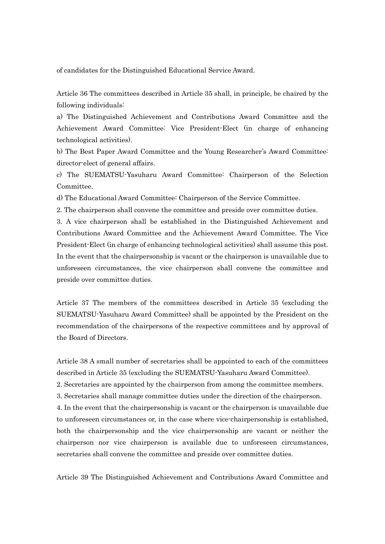of candidates for the Distinguished Educational Service Award.

Article 36 The committees described in Article 35 shall, in principle, be chaired by the following individuals:

a) The Distinguished Achievement and Contributions Award Committee and the Achievement Award Committee: Vice President-Elect (in charge of enhancing technological activities).

b) The Best Paper Award Committee and the Young Researcher's Award Committee: director-elect of general affairs.

c) The SUEMATSU-Yasuharu Award Committee: Chairperson of the Selection Committee.

d) The Educational Award Committee: Chairperson of the Service Committee.

2. The chairperson shall convene the committee and preside over committee duties.

3. A vice chairperson shall be established in the Distinguished Achievement and Contributions Award Committee and the Achievement Award Committee. The Vice President-Elect (in charge of enhancing technological activities) shall assume this post. In the event that the chairpersonship is vacant or the chairperson is unavailable due to unforeseen circumstances, the vice chairperson shall convene the committee and preside over committee duties.

Article 37 The members of the committees described in Article 35 (excluding the SUEMATSU-Yasuharu Award Committee) shall be appointed by the President on the recommendation of the chairpersons of the respective committees and by approval of the Board of Directors.

Article 38 A small number of secretaries shall be appointed to each of the committees described in Article 35 (excluding the SUEMATSU-Yasuharu Award Committee).

2. Secretaries are appointed by the chairperson from among the committee members.

3. Secretaries shall manage committee duties under the direction of the chairperson.

4. In the event that the chairpersonship is vacant or the chairperson is unavailable due to unforeseen circumstances or, in the case where vice-chairpersonship is established, both the chairpersonship and the vice chairpersonship are vacant or neither the chairperson nor vice chairperson is available due to unforeseen circumstances, secretaries shall convene the committee and preside over committee duties.

Article 39 The Distinguished Achievement and Contributions Award Committee and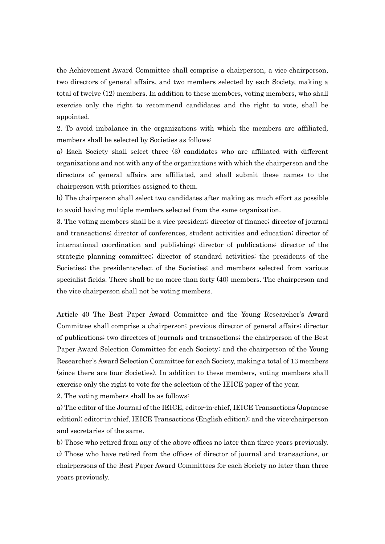the Achievement Award Committee shall comprise a chairperson, a vice chairperson, two directors of general affairs, and two members selected by each Society, making a total of twelve (12) members. In addition to these members, voting members, who shall exercise only the right to recommend candidates and the right to vote, shall be appointed.

2. To avoid imbalance in the organizations with which the members are affiliated, members shall be selected by Societies as follows:

a) Each Society shall select three (3) candidates who are affiliated with different organizations and not with any of the organizations with which the chairperson and the directors of general affairs are affiliated, and shall submit these names to the chairperson with priorities assigned to them.

b) The chairperson shall select two candidates after making as much effort as possible to avoid having multiple members selected from the same organization.

3. The voting members shall be a vice president; director of finance; director of journal and transactions; director of conferences, student activities and education; director of international coordination and publishing; director of publications; director of the strategic planning committee; director of standard activities; the presidents of the Societies; the presidents-elect of the Societies; and members selected from various specialist fields. There shall be no more than forty (40) members. The chairperson and the vice chairperson shall not be voting members.

Article 40 The Best Paper Award Committee and the Young Researcher's Award Committee shall comprise a chairperson; previous director of general affairs; director of publications; two directors of journals and transactions; the chairperson of the Best Paper Award Selection Committee for each Society; and the chairperson of the Young Researcher's Award Selection Committee for each Society, making a total of 13 members (since there are four Societies). In addition to these members, voting members shall exercise only the right to vote for the selection of the IEICE paper of the year.

2. The voting members shall be as follows:

a) The editor of the Journal of the IEICE, editor-in-chief, IEICE Transactions (Japanese edition); editor-in-chief, IEICE Transactions (English edition); and the vice-chairperson and secretaries of the same.

b) Those who retired from any of the above offices no later than three years previously. c) Those who have retired from the offices of director of journal and transactions, or chairpersons of the Best Paper Award Committees for each Society no later than three years previously.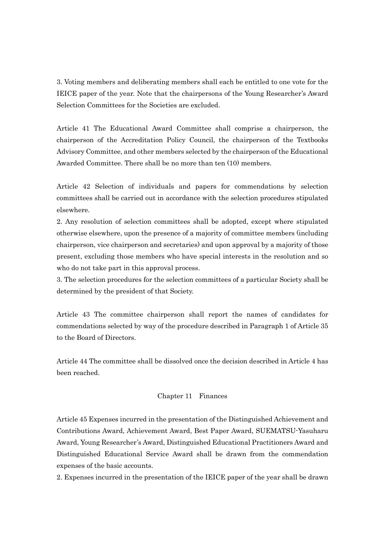3. Voting members and deliberating members shall each be entitled to one vote for the IEICE paper of the year. Note that the chairpersons of the Young Researcher's Award Selection Committees for the Societies are excluded.

Article 41 The Educational Award Committee shall comprise a chairperson, the chairperson of the Accreditation Policy Council, the chairperson of the Textbooks Advisory Committee, and other members selected by the chairperson of the Educational Awarded Committee. There shall be no more than ten (10) members.

Article 42 Selection of individuals and papers for commendations by selection committees shall be carried out in accordance with the selection procedures stipulated elsewhere.

2. Any resolution of selection committees shall be adopted, except where stipulated otherwise elsewhere, upon the presence of a majority of committee members (including chairperson, vice chairperson and secretaries) and upon approval by a majority of those present, excluding those members who have special interests in the resolution and so who do not take part in this approval process.

3. The selection procedures for the selection committees of a particular Society shall be determined by the president of that Society.

Article 43 The committee chairperson shall report the names of candidates for commendations selected by way of the procedure described in Paragraph 1 of Article 35 to the Board of Directors.

Article 44 The committee shall be dissolved once the decision described in Article 4 has been reached.

### Chapter 11 Finances

Article 45 Expenses incurred in the presentation of the Distinguished Achievement and Contributions Award, Achievement Award, Best Paper Award, SUEMATSU-Yasuharu Award, Young Researcher's Award, Distinguished Educational Practitioners Award and Distinguished Educational Service Award shall be drawn from the commendation expenses of the basic accounts.

2. Expenses incurred in the presentation of the IEICE paper of the year shall be drawn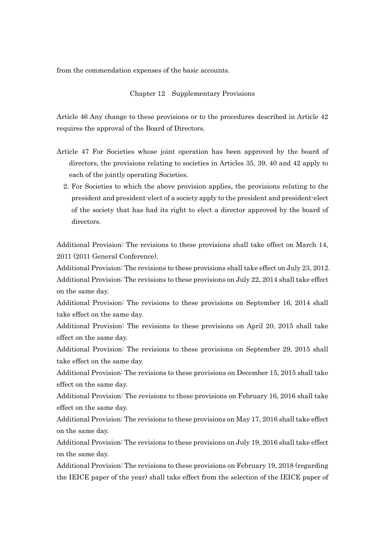from the commendation expenses of the basic accounts.

### Chapter 12 Supplementary Provisions

Article 46 Any change to these provisions or to the procedures described in Article 42 requires the approval of the Board of Directors.

- Article 47 For Societies whose joint operation has been approved by the board of directors, the provisions relating to societies in Articles 35, 39, 40 and 42 apply to each of the jointly operating Societies.
	- 2. For Societies to which the above provision applies, the provisions relating to the president and president-elect of a society apply to the president and president-elect of the society that has had its right to elect a director approved by the board of directors.

Additional Provision: The revisions to these provisions shall take effect on March 14, 2011 (2011 General Conference).

Additional Provision: The revisions to these provisions shall take effect on July 23, 2012. Additional Provision: The revisions to these provisions on July 22, 2014 shall take effect on the same day.

Additional Provision: The revisions to these provisions on September 16, 2014 shall take effect on the same day.

Additional Provision: The revisions to these provisions on April 20, 2015 shall take effect on the same day.

Additional Provision: The revisions to these provisions on September 29, 2015 shall take effect on the same day.

Additional Provision: The revisions to these provisions on December 15, 2015 shall take effect on the same day.

Additional Provision: The revisions to these provisions on February 16, 2016 shall take effect on the same day.

Additional Provision: The revisions to these provisions on May 17, 2016 shall take effect on the same day.

Additional Provision: The revisions to these provisions on July 19, 2016 shall take effect on the same day.

Additional Provision: The revisions to these provisions on February 19, 2018 (regarding the IEICE paper of the year) shall take effect from the selection of the IEICE paper of